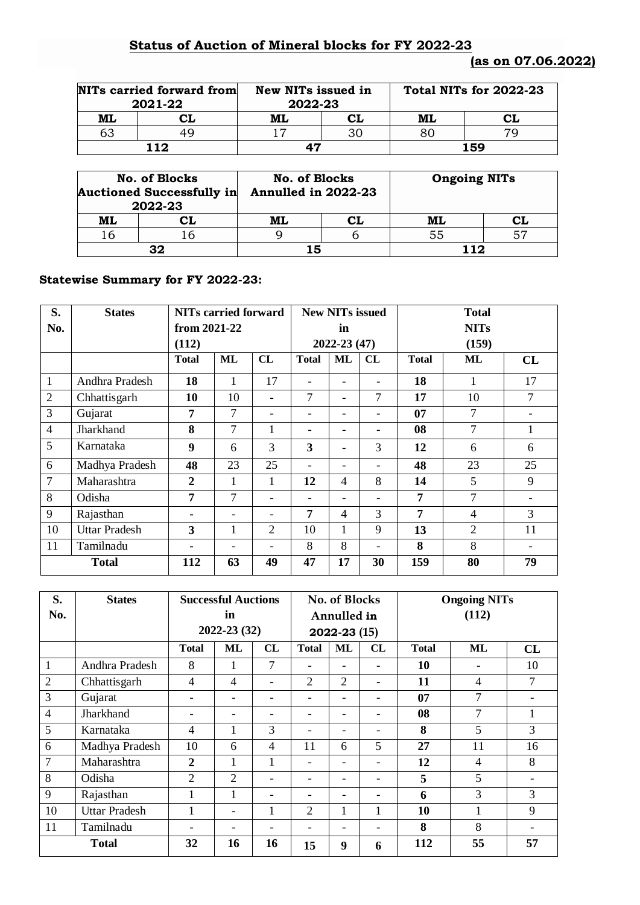## **Status of Auction of Mineral blocks for FY 2022-23**

|    | NITs carried forward from<br>2021-22 | New NITs issued in<br>2022-23 |  | Total NITs for 2022-23 |    |  |
|----|--------------------------------------|-------------------------------|--|------------------------|----|--|
| ML | CL                                   | CL<br>ML                      |  | ML                     | CL |  |
| 63 | 49                                   |                               |  | 70<br>80               |    |  |
|    | 112                                  | 47                            |  | 159                    |    |  |

|    | <b>No. of Blocks</b><br><b>Auctioned Successfully in</b><br>2022-23 | No. of Blocks<br>Annulled in 2022-23 |    | <b>Ongoing NITs</b> |    |  |
|----|---------------------------------------------------------------------|--------------------------------------|----|---------------------|----|--|
| ML | CL                                                                  | ML                                   | CL | ML                  | CL |  |
| 16 |                                                                     |                                      |    | 55                  |    |  |
|    | 32                                                                  | 15                                   |    | 11つ                 |    |  |

## **Statewise Summary for FY 2022-23:**

| S.             | <b>States</b>        | <b>NITs carried forward</b> |    |                          |                 | <b>New NITs issued</b> |    |              | <b>Total</b>   |    |  |  |
|----------------|----------------------|-----------------------------|----|--------------------------|-----------------|------------------------|----|--------------|----------------|----|--|--|
| No.            |                      | from 2021-22                | in |                          |                 | <b>NITs</b>            |    |              |                |    |  |  |
|                |                      | (112)                       |    |                          | $2022 - 23(47)$ |                        |    | (159)        |                |    |  |  |
|                |                      | <b>Total</b>                | ML | CL                       | <b>Total</b>    | <b>ML</b>              | CL | <b>Total</b> | ML             | CL |  |  |
| $\mathbf{1}$   | Andhra Pradesh       | 18                          | 1  | 17                       |                 |                        |    | 18           | 1              | 17 |  |  |
| $\overline{2}$ | Chhattisgarh         | 10                          | 10 | $\overline{\phantom{0}}$ | 7               |                        | 7  | 17           | 10             | 7  |  |  |
| $\mathfrak{Z}$ | Gujarat              | 7                           | 7  |                          |                 |                        |    | 07           | 7              |    |  |  |
| $\overline{4}$ | Jharkhand            | 8                           | 7  | 1                        |                 |                        | -  | 08           | $\overline{7}$ | 1  |  |  |
| 5              | Karnataka            | 9                           | 6  | 3                        | 3               |                        | 3  | 12           | 6              | 6  |  |  |
| 6              | Madhya Pradesh       | 48                          | 23 | 25                       |                 |                        |    | 48           | 23             | 25 |  |  |
| $\tau$         | Maharashtra          | $\overline{2}$              | 1  | 1                        | 12              | $\overline{4}$         | 8  | 14           | 5              | 9  |  |  |
| 8              | Odisha               | 7                           | 7  | $\overline{\phantom{0}}$ |                 |                        | -  | 7            | 7              |    |  |  |
| 9              | Rajasthan            |                             |    | $\overline{\phantom{0}}$ | 7               | $\overline{4}$         | 3  | 7            | $\overline{4}$ | 3  |  |  |
| 10             | <b>Uttar Pradesh</b> | 3                           | 1  | $\overline{2}$           | 10              | 1                      | 9  | 13           | 2              | 11 |  |  |
| 11             | Tamilnadu            |                             |    | $\overline{\phantom{0}}$ | 8               | 8                      |    | 8            | 8              |    |  |  |
| <b>Total</b>   |                      | 112                         | 63 | 49                       | 47              | 17                     | 30 | 159          | 80             | 79 |  |  |

| S.             | <b>States</b>        | <b>Successful Auctions</b><br>No. of Blocks |              |                          |                          |              | <b>Ongoing NITs</b>      |              |                |                 |  |
|----------------|----------------------|---------------------------------------------|--------------|--------------------------|--------------------------|--------------|--------------------------|--------------|----------------|-----------------|--|
| No.            |                      |                                             | in           |                          | Annulled in              |              |                          | (112)        |                |                 |  |
|                |                      |                                             | 2022-23 (32) |                          |                          | 2022-23 (15) |                          |              |                |                 |  |
|                |                      | <b>Total</b>                                | ML           | CL                       | <b>Total</b>             | ML           | CL                       | <b>Total</b> | ML             | CL              |  |
| 1              | Andhra Pradesh       | 8                                           | 1            | 7                        | ۳                        |              |                          | 10           |                | 10              |  |
| $\overline{2}$ | Chhattisgarh         | 4                                           | 4            | $\overline{\phantom{0}}$ | $\overline{2}$           | 2            |                          | 11           | 4              |                 |  |
| 3              | Gujarat              |                                             |              |                          |                          |              |                          | 07           | 7              |                 |  |
| $\overline{4}$ | Jharkhand            |                                             | -            | $\overline{\phantom{0}}$ | -                        | -            | -                        | 08           | 7              |                 |  |
| 5              | Karnataka            | 4                                           | 1            | 3                        | ۳                        |              |                          | 8            | 5              | 3               |  |
| 6              | Madhya Pradesh       | 10                                          | 6            | $\overline{4}$           | 11                       | 6            | 5                        | 27           | 11             | 16              |  |
| $\overline{7}$ | Maharashtra          | $\overline{2}$                              | 1            | $\mathbf{1}$             |                          |              |                          | 12           | $\overline{4}$ | 8               |  |
| 8              | Odisha               | $\overline{2}$                              | 2            | -                        | $\overline{\phantom{0}}$ | -            | $\overline{\phantom{0}}$ | 5            | 5              |                 |  |
| 9              | Rajasthan            | 1                                           | 1            | -                        | -                        | -            |                          | 6            | 3              | 3               |  |
| 10             | <b>Uttar Pradesh</b> |                                             | -            | $\mathbf{1}$             | $\overline{2}$           | 1            |                          | 10           | 1              | 9               |  |
| 11             | Tamilnadu            |                                             |              | -                        | $\overline{\phantom{0}}$ |              |                          | 8            | 8              | $\qquad \qquad$ |  |
| <b>Total</b>   |                      | 32                                          | 16           | 16                       | 15                       | 9            | 6                        | 112          | 55             | 57              |  |